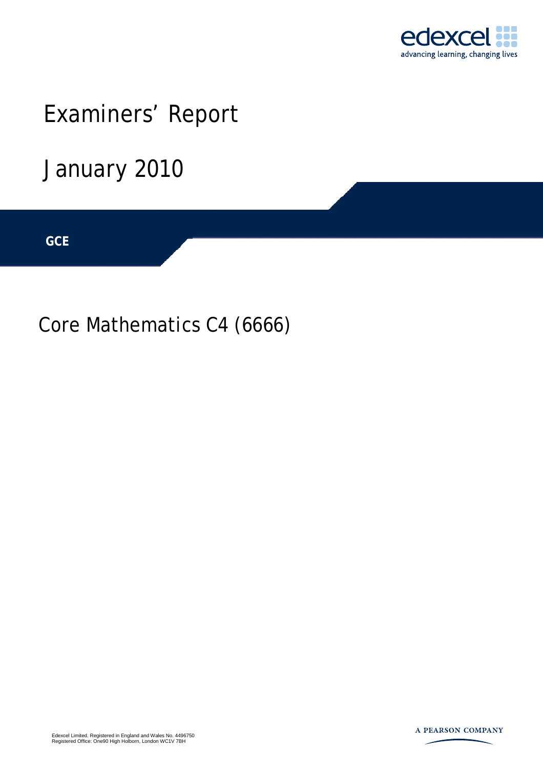

# Examiners' Report

## January 2010

**IGCSE GCE** 

Core Mathematics C4 (6666)

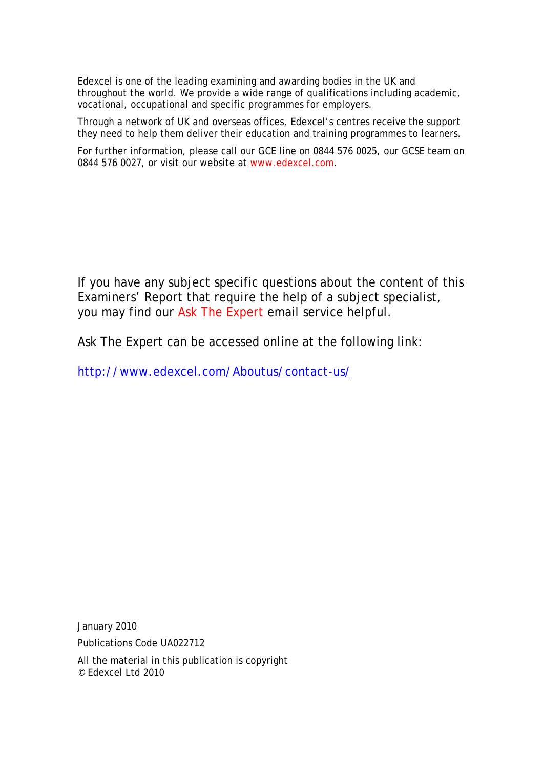Edexcel is one of the leading examining and awarding bodies in the UK and throughout the world. We provide a wide range of qualifications including academic, vocational, occupational and specific programmes for employers.

Through a network of UK and overseas offices, Edexcel's centres receive the support they need to help them deliver their education and training programmes to learners.

For further information, please call our GCE line on 0844 576 0025, our GCSE team on 0844 576 0027, or visit our website at www.edexcel.com.

If you have any subject specific questions about the content of this Examiners' Report that require the help of a subject specialist, you may find our Ask The Expert email service helpful.

Ask The Expert can be accessed online at the following link:

http://www.edexcel.com/Aboutus/contact-us/

January 2010

Publications Code UA022712

All the material in this publication is copyright © Edexcel Ltd 2010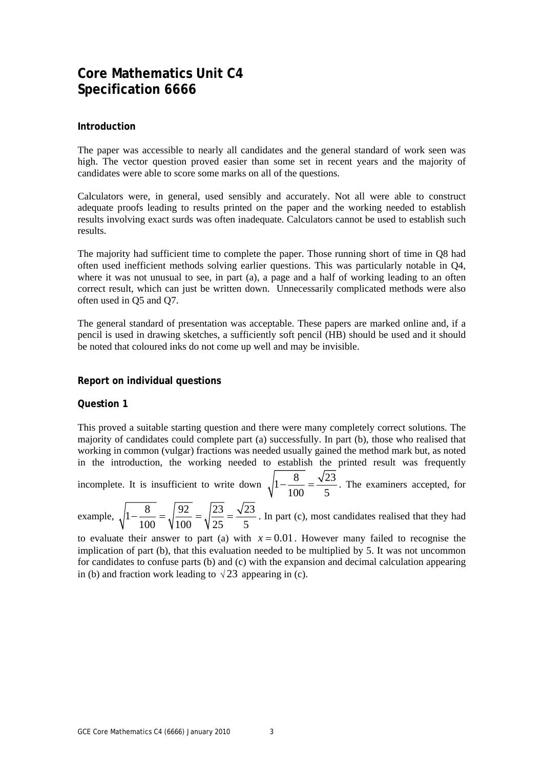### **Core Mathematics Unit C4 Specification 6666**

#### **Introduction**

The paper was accessible to nearly all candidates and the general standard of work seen was high. The vector question proved easier than some set in recent years and the majority of candidates were able to score some marks on all of the questions.

Calculators were, in general, used sensibly and accurately. Not all were able to construct adequate proofs leading to results printed on the paper and the working needed to establish results involving exact surds was often inadequate. Calculators cannot be used to establish such results.

The majority had sufficient time to complete the paper. Those running short of time in Q8 had often used inefficient methods solving earlier questions. This was particularly notable in Q4, where it was not unusual to see, in part (a), a page and a half of working leading to an often correct result, which can just be written down. Unnecessarily complicated methods were also often used in Q5 and Q7.

The general standard of presentation was acceptable. These papers are marked online and, if a pencil is used in drawing sketches, a sufficiently soft pencil (HB) should be used and it should be noted that coloured inks do not come up well and may be invisible.

#### **Report on individual questions**

#### **Question 1**

This proved a suitable starting question and there were many completely correct solutions. The majority of candidates could complete part (a) successfully. In part (b), those who realised that working in common (vulgar) fractions was needed usually gained the method mark but, as noted in the introduction, the working needed to establish the printed result was frequently

incomplete. It is insufficient to write down  $\sqrt{1-\frac{8}{100}} = \frac{\sqrt{23}}{2}$ . The examiners accepted, for 100 5

example,  $\sqrt{1-\frac{8}{1.00}} = \sqrt{\frac{92}{1.00}} = \sqrt{\frac{23}{2}} = \frac{\sqrt{23}}{\sqrt{2}}$ 100 \times 100 \times 100 \times 125 \times 5  $-\frac{6}{100} = \sqrt{\frac{22}{100}} = \sqrt{\frac{23}{100}} = \frac{\sqrt{23}}{100}$ . In part (c), most candidates realised that they had

to evaluate their answer to part (a) with  $x = 0.01$ . However many failed to recognise the implication of part (b), that this evaluation needed to be multiplied by 5. It was not uncommon for candidates to confuse parts (b) and (c) with the expansion and decimal calculation appearing in (b) and fraction work leading to  $\sqrt{23}$  appearing in (c).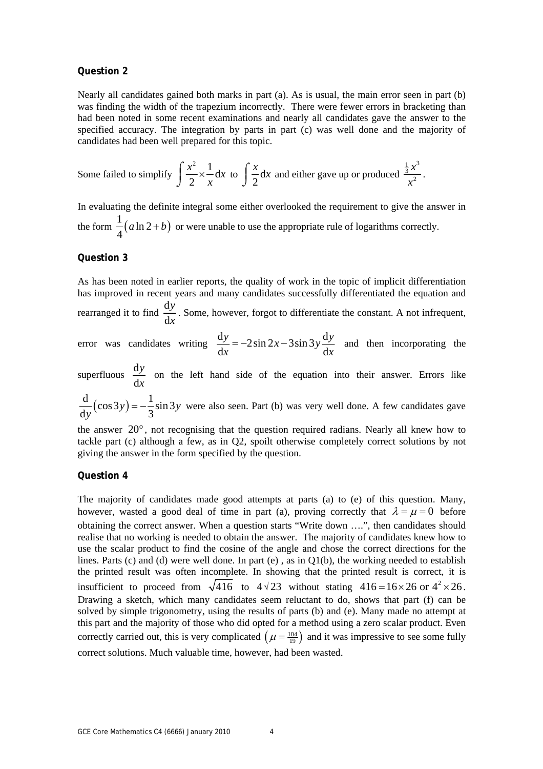#### **Question 2**

Nearly all candidates gained both marks in part (a). As is usual, the main error seen in part (b) was finding the width of the trapezium incorrectly. There were fewer errors in bracketing than had been noted in some recent examinations and nearly all candidates gave the answer to the specified accuracy. The integration by parts in part (c) was well done and the majority of candidates had been well prepared for this topic.

Some failed to simplify 
$$
\int \frac{x^2}{2} \times \frac{1}{x} dx
$$
 to  $\int \frac{x}{2} dx$  and either gave up or produced  $\frac{\frac{1}{3}x^3}{x^2}$ .

In evaluating the definite integral some either overlooked the requirement to give the answer in the form  $\frac{1}{4} (a \ln 2 + b)$ 4  $a \ln 2 + b$  or were unable to use the appropriate rule of logarithms correctly.

#### **Question 3**

As has been noted in earlier reports, the quality of work in the topic of implicit differentiation has improved in recent years and many candidates successfully differentiated the equation and rearranged it to find  $\frac{d}{dx}$ *y*

d *x* . Some, however, forgot to differentiate the constant. A not infrequent,

error was candidates writing  $\frac{dy}{dx} = -2\sin 2x - 3\sin 3y$  $dx$  d  $\frac{1}{x}$  d  $\frac{1}{y}$  $\frac{y}{x}$  = −2sin 2x − 3sin 3y  $\frac{dy}{dx}$  and then incorporating the

superfluous  $\frac{d}{dx}$ d *y x* on the left hand side of the equation into their answer. Errors like

 $\frac{d}{dy}(\cos 3y) = -\frac{1}{3}\sin 3y$  were also seen. Part (b) was very well done. A few candidates gave

the answer 20°, not recognising that the question required radians. Nearly all knew how to tackle part (c) although a few, as in Q2, spoilt otherwise completely correct solutions by not giving the answer in the form specified by the question.

#### **Question 4**

The majority of candidates made good attempts at parts (a) to (e) of this question. Many, however, wasted a good deal of time in part (a), proving correctly that  $\lambda = \mu = 0$  before obtaining the correct answer. When a question starts "Write down ….", then candidates should realise that no working is needed to obtain the answer. The majority of candidates knew how to use the scalar product to find the cosine of the angle and chose the correct directions for the lines. Parts (c) and (d) were well done. In part (e), as in  $Q1(b)$ , the working needed to establish the printed result was often incomplete. In showing that the printed result is correct, it is insufficient to proceed from  $\sqrt{416}$  to  $4\sqrt{23}$  without stating  $416 = 16 \times 26$  or  $4^2 \times 26$ . Drawing a sketch, which many candidates seem reluctant to do, shows that part (f) can be solved by simple trigonometry, using the results of parts (b) and (e). Many made no attempt at this part and the majority of those who did opted for a method using a zero scalar product. Even correctly carried out, this is very complicated  $(\mu = \frac{104}{9})$  and it was impressive to see some fully correct solutions. Much valuable time, however, had been wasted.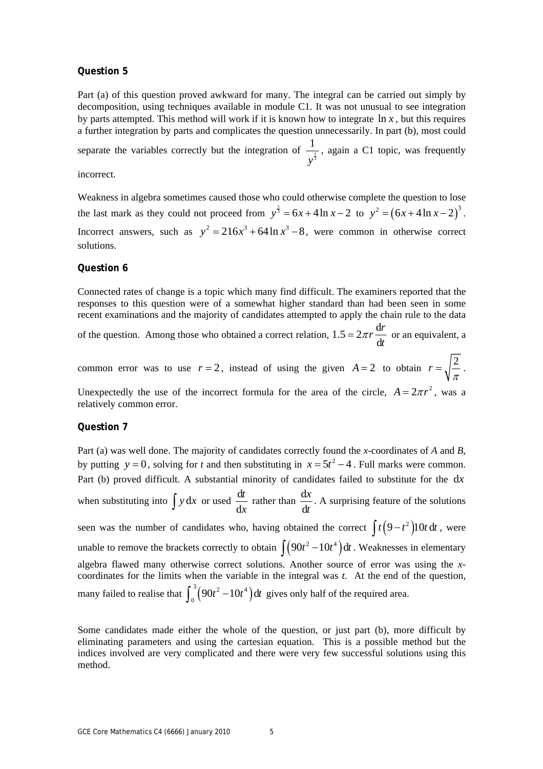#### **Question 5**

Part (a) of this question proved awkward for many. The integral can be carried out simply by decomposition, using techniques available in module C1. It was not unusual to see integration by parts attempted. This method will work if it is known how to integrate  $\ln x$ , but this requires a further integration by parts and complicates the question unnecessarily. In part (b), most could

separate the variables correctly but the integration of  $\frac{1}{\sqrt{3}}$ 1 *y* , again a C1 topic, was frequently

incorrect.

Weakness in algebra sometimes caused those who could otherwise complete the question to lose the last mark as they could not proceed from  $y^{\frac{2}{3}} = 6x + 4\ln x - 2$  to  $y^2 = (6x + 4\ln x - 2)^3$ . Incorrect answers, such as  $y^2 = 216x^3 + 64 \ln x^3 - 8$ , were common in otherwise correct solutions.

#### **Question 6**

Connected rates of change is a topic which many find difficult. The examiners reported that the responses to this question were of a somewhat higher standard than had been seen in some recent examinations and the majority of candidates attempted to apply the chain rule to the data

of the question. Among those who obtained a correct relation,  $1.5 = 2\pi r \frac{d}{dx}$ d  $= 2\pi r \frac{dr}{dt}$  or an equivalent, a

common error was to use  $r = 2$ , instead of using the given  $A = 2$  to obtain  $r = \sqrt{\frac{2}{\pi}}$ . Unexpectedly the use of the incorrect formula for the area of the circle,  $A = 2\pi r^2$ , was a

#### **Question 7**

relatively common error.

Part (a) was well done. The majority of candidates correctly found the *x*-coordinates of *A* and *B*, by putting  $y = 0$ , solving for *t* and then substituting in  $x = 5t^2 - 4$ . Full marks were common. Part (b) proved difficult. A substantial minority of candidates failed to substitute for the d*x* when substituting into  $\int y dx$  or used  $\frac{d}{dx}$ *t x* rather than  $\frac{d}{dx}$ d *x t* . A surprising feature of the solutions seen was the number of candidates who, having obtained the correct  $\int t (9-t^2) 10t dt$ , were unable to remove the brackets correctly to obtain  $\int (90t^2 - 10t^4) dt$ . Weaknesses in elementary algebra flawed many otherwise correct solutions. Another source of error was using the *x*coordinates for the limits when the variable in the integral was *t*. At the end of the question, many failed to realise that  $\int_0^3 (90t^2 - 10t^4) dt$  gives only half of the required area.

Some candidates made either the whole of the question, or just part (b), more difficult by eliminating parameters and using the cartesian equation. This is a possible method but the indices involved are very complicated and there were very few successful solutions using this method.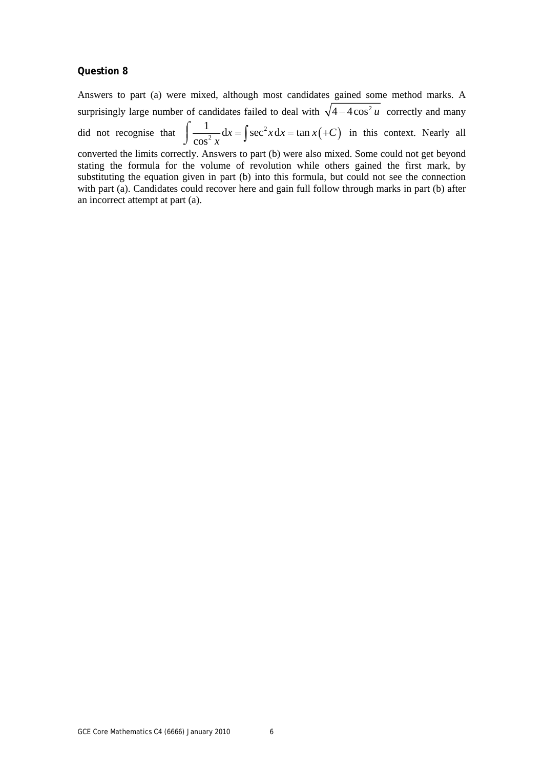#### **Question 8**

an incorrect attempt at part (a).

Answers to part (a) were mixed, although most candidates gained some method marks. A surprisingly large number of candidates failed to deal with  $\sqrt{4 - 4\cos^2 u}$  correctly and many did not recognise that  $\int \frac{1}{\cos^2 x} dx = \int \sec^2 x dx = \tan x (+C)$ cos  $\int \frac{1}{\cos^2 x} dx = \int \sec^2 x dx = \tan x (+C)$  in this context. Nearly all converted the limits correctly. Answers to part (b) were also mixed. Some could not get beyond stating the formula for the volume of revolution while others gained the first mark, by substituting the equation given in part (b) into this formula, but could not see the connection

with part (a). Candidates could recover here and gain full follow through marks in part (b) after

GCE Core Mathematics C4 (6666) January 2010 6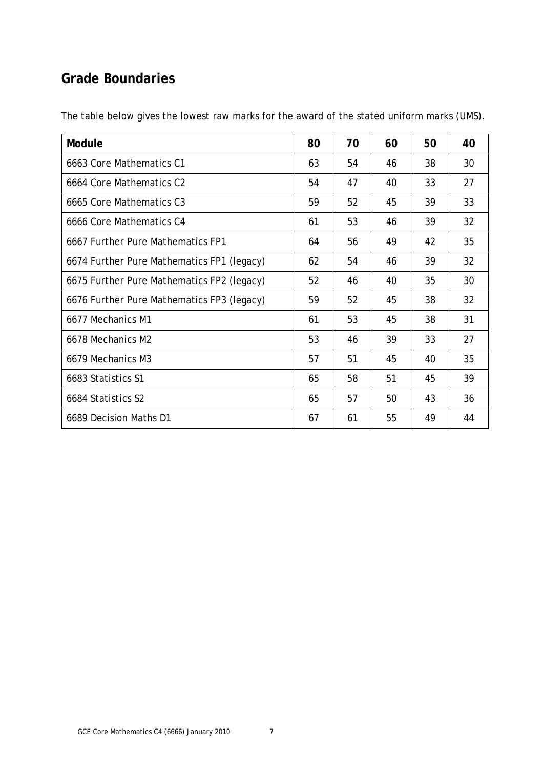### **Grade Boundaries**

| Module                                     | 80 | 70 | 60 | 50 | 40 |
|--------------------------------------------|----|----|----|----|----|
| 6663 Core Mathematics C1                   | 63 | 54 | 46 | 38 | 30 |
| 6664 Core Mathematics C2                   | 54 | 47 | 40 | 33 | 27 |
| 6665 Core Mathematics C3                   | 59 | 52 | 45 | 39 | 33 |
| 6666 Core Mathematics C4                   | 61 | 53 | 46 | 39 | 32 |
| 6667 Further Pure Mathematics FP1          | 64 | 56 | 49 | 42 | 35 |
| 6674 Further Pure Mathematics FP1 (legacy) | 62 | 54 | 46 | 39 | 32 |
| 6675 Further Pure Mathematics FP2 (legacy) | 52 | 46 | 40 | 35 | 30 |
| 6676 Further Pure Mathematics FP3 (legacy) | 59 | 52 | 45 | 38 | 32 |
| 6677 Mechanics M1                          | 61 | 53 | 45 | 38 | 31 |
| 6678 Mechanics M2                          | 53 | 46 | 39 | 33 | 27 |
| 6679 Mechanics M3                          | 57 | 51 | 45 | 40 | 35 |
| 6683 Statistics S1                         | 65 | 58 | 51 | 45 | 39 |
| 6684 Statistics S2                         | 65 | 57 | 50 | 43 | 36 |
| 6689 Decision Maths D1                     | 67 | 61 | 55 | 49 | 44 |

The table below gives the lowest raw marks for the award of the stated uniform marks (UMS).